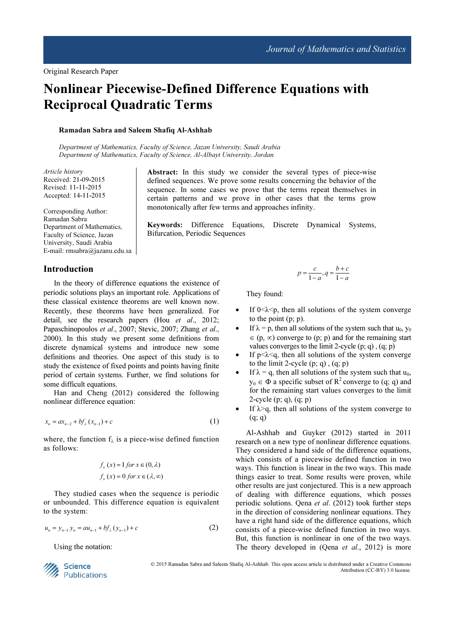# Nonlinear Piecewise-Defined Difference Equations with Reciprocal Quadratic Terms

Bifurcation, Periodic Sequences

#### Ramadan Sabra and Saleem Shafiq Al-Ashhab

Department of Mathematics, Faculty of Science, Jazan University, Saudi Arabia Department of Mathematics, Faculty of Science, Al-Albayt University, Jordan

Article history Received: 21-09-2015 Revised: 11-11-2015 Accepted: 14-11-2015

Corresponding Author: Ramadan Sabra Department of Mathematics, Faculty of Science, Jazan University, Saudi Arabia E-mail: rmsabra@jazanu.edu.sa

#### Introduction

In the theory of difference equations the existence of periodic solutions plays an important role. Applications of these classical existence theorems are well known now. Recently, these theorems have been generalized. For detail, see the research papers (Hou et al., 2012; Papaschinopoulos et al., 2007; Stevic, 2007; Zhang et al., 2000). In this study we present some definitions from discrete dynamical systems and introduce new some definitions and theories. One aspect of this study is to study the existence of fixed points and points having finite period of certain systems. Further, we find solutions for some difficult equations.

Han and Cheng (2012) considered the following nonlinear difference equation:

$$
x_n = ax_{n-2} + bf_\lambda(x_{n-1}) + c \tag{1}
$$

where, the function  $f_{\lambda}$  is a piece-wise defined function as follows:

$$
f_x(x) = 1 \text{ for } x \in (0, \lambda)
$$
  

$$
f_x(x) = 0 \text{ for } x \in (\lambda, \infty)
$$

They studied cases when the sequence is periodic or unbounded. This difference equation is equivalent to the system:

$$
u_n = y_{n-1} y_n = a u_{n-1} + b f_\lambda (y_{n-1}) + c \tag{2}
$$

Using the notation:



© 2015 Ramadan Sabra and Saleem Shafiq Al-Ashhab. This open access article is distributed under a Creative Commons Attribution (CC-BY) 3.0 license.

 $\frac{c}{1-a}, q = \frac{b}{1}$  $p = \frac{c}{1-a}, q = \frac{b+c}{1-a}$  $=\frac{c}{1-a}, q=\frac{b+1}{1-b}$ 

They found:

Abstract: In this study we consider the several types of piece-wise defined sequences. We prove some results concerning the behavior of the sequence. In some cases we prove that the terms repeat themselves in certain patterns and we prove in other cases that the terms grow

Keywords: Difference Equations, Discrete Dynamical Systems,

monotonically after few terms and approaches infinity.

- If  $0 \le \lambda \le p$ , then all solutions of the system converge to the point (p; p).
- If  $\lambda = p$ , then all solutions of the system such that  $u_0$ ,  $y_0$  $\in$  (p,  $\infty$ ) converge to (p; p) and for the remaining start values converges to the limit 2-cycle  $(p; q)$ ,  $(q; p)$
- If  $p<\lambda< q$ , then all solutions of the system converge to the limit 2-cycle  $(p; q)$ ,  $(q; p)$
- If  $\lambda = q$ , then all solutions of the system such that  $u_0$ ,  $y_0 \in \Phi$  a specific subset of  $R^2$  converge to (q; q) and for the remaining start values converges to the limit 2-cycle (p; q), (q; p)
- If  $\lambda$ >q, then all solutions of the system converge to  $(q; q)$

Al-Ashhab and Guyker (2012) started in 2011 research on a new type of nonlinear difference equations. They considered a hand side of the difference equations, which consists of a piecewise defined function in two ways. This function is linear in the two ways. This made things easier to treat. Some results were proven, while other results are just conjectured. This is a new approach of dealing with difference equations, which posses periodic solutions. Qena et al. (2012) took further steps in the direction of considering nonlinear equations. They have a right hand side of the difference equations, which consists of a piece-wise defined function in two ways. But, this function is nonlinear in one of the two ways. The theory developed in (Qena et al., 2012) is more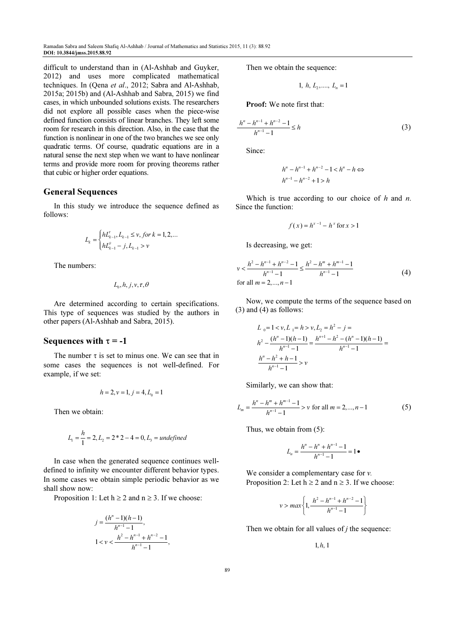difficult to understand than in (Al-Ashhab and Guyker, 2012) and uses more complicated mathematical techniques. In (Qena et al., 2012; Sabra and Al-Ashhab, 2015a; 2015b) and (Al-Ashhab and Sabra, 2015) we find cases, in which unbounded solutions exists. The researchers did not explore all possible cases when the piece-wise defined function consists of linear branches. They left some room for research in this direction. Also, in the case that the function is nonlinear in one of the two branches we see only quadratic terms. Of course, quadratic equations are in a natural sense the next step when we want to have nonlinear terms and provide more room for proving theorems rather that cubic or higher order equations.

# General Sequences

In this study we introduce the sequence defined as follows:

$$
L_k = \begin{cases} hL_{k-1}^{\tau}, L_{k-1} \leq v, \text{ for } k = 1, 2, \dots \\ hL_{k-1}^0 - j, L_{k-1} > v \end{cases}
$$

The numbers:

$$
L_{0}, h, j, v, \tau, \theta
$$

Are determined according to certain specifications. This type of sequences was studied by the authors in other papers (Al-Ashhab and Sabra, 2015).

## Sequences with  $\tau = -1$

The number  $\tau$  is set to minus one. We can see that in some cases the sequences is not well-defined. For example, if we set:

$$
h = 2, v = 1, j = 4, L_0 = 1
$$

Then we obtain:

$$
L_1 = \frac{h}{1} = 2, L_2 = 2 * 2 - 4 = 0, L_3 = undefined
$$

In case when the generated sequence continues welldefined to infinity we encounter different behavior types. In some cases we obtain simple periodic behavior as we shall show now:

Proposition 1: Let  $h \ge 2$  and  $n \ge 3$ . If we choose:

$$
j = \frac{(h^n - 1)(h - 1)}{h^{n-1} - 1},
$$
  
 
$$
1 < v < \frac{h^2 - h^{n-1} + h^{n-2} - 1}{h^{n-1} - 1},
$$

Then we obtain the sequence:

$$
1, h, L_2, \dots, L_n = 1
$$

Proof: We note first that:

$$
\frac{h^n - h^{n-1} + h^{n-2} - 1}{h^{n-1} - 1} \le h
$$
 (3)

Since:

$$
h^{n} - h^{n-1} + h^{n-2} - 1 < h^{n} - h \Leftrightarrow
$$
\n
$$
h^{n-1} - h^{n-2} + 1 > h
$$

Which is true according to our choice of  $h$  and  $n$ . Since the function:

$$
f(x) = h^{x-1} - h^x \text{ for } x > 1
$$

Is decreasing, we get:

$$
v < \frac{h^2 - h^{n-1} + h^{n-2} - 1}{h^{n-1} - 1} \le \frac{h^2 - h^m + h^{m-1} - 1}{h^{n-1} - 1}
$$
\nfor all  $m = 2, \ldots, n-1$ 

\n(4)

Now, we compute the terms of the sequence based on (3) and (4) as follows:

$$
L_0 = 1 < v, L_1 = h > v, L_2 = h^2 - j =
$$
\n
$$
h^2 - \frac{(h^n - 1)(h - 1)}{h^{n-1} - 1} = \frac{h^{n+1} - h^2 - (h^n - 1)(h - 1)}{h^{n-1} - 1} =
$$
\n
$$
\frac{h^n - h^2 + h - 1}{h^{n-1} - 1} > v
$$

Similarly, we can show that:

$$
L_m = \frac{h^n - h^m + h^{m-1} - 1}{h^{n-1} - 1} > v \text{ for all } m = 2, ..., n - 1
$$
 (5)

Thus, we obtain from (5):

$$
L_n = \frac{h^n - h^n + h^{n-1} - 1}{h^{n-1} - 1} = 1 \bullet
$$

We consider a complementary case for  $v$ . Proposition 2: Let  $h \ge 2$  and  $n \ge 3$ . If we choose:

$$
v > max \left\{ 1, \frac{h^2 - h^{n-1} + h^{n-2} - 1}{h^{n-1} - 1} \right\}
$$

Then we obtain for all values of  $j$  the sequence:

 $1, h, 1$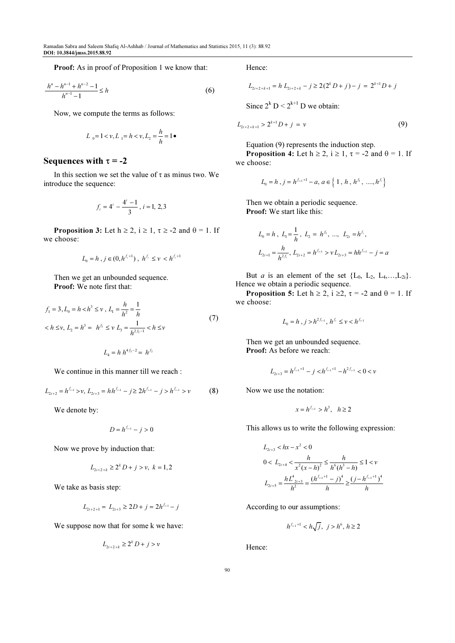Proof: As in proof of Proposition 1 we know that:

$$
\frac{h^n - h^{n-1} + h^{n-2} - 1}{h^{n-1} - 1} \le h
$$
 (6)

Now, we compute the terms as follows:

$$
L_0 = 1 < v, L_1 = h < v, L_2 = \frac{h}{h} = 1 \bullet
$$

# Sequences with  $\tau = -2$

In this section we set the value of  $\tau$  as minus two. We introduce the sequence:

$$
f_i = 4^i - \frac{4^i - 1}{3}, i = 1, 2, 3
$$

**Proposition 3:** Let  $h \ge 2$ ,  $i \ge 1$ ,  $\tau \ge -2$  and  $\theta = 1$ . If we choose:

$$
L_0=h\;,\;j\in(0,h^{f_i+1})\;,\;h^{f_i}\leq v\;
$$

Then we get an unbounded sequence. Proof: We note first that:

$$
f_1 = 3, L_0 = h < h^3 \le \nu, L_1 = \frac{h}{h^2} = \frac{1}{h}
$$
  

$$
< h \le \nu, L_2 = h^3 = h^{f_1} \le \nu L_3 = \frac{1}{h^{2f_1 - 1}} < h \le \nu
$$
 (7)

$$
L_4 = h h^{4f_1 - 2} = h^{f_2}
$$

We continue in this manner till we reach :

$$
L_{2i+2} = h^{f_{i+1}} > v, L_{2i+3} = h h^{f_{i+1}} - j \ge 2h^{f_{i+1}} - j > h^{f_{i+1}} > v
$$
 (8)

We denote by:

 $D = h^{f_{i+1}} - j > 0$ 

Now we prove by induction that:

$$
L_{2i+2+k} \ge 2^k D + j > v, \ k = 1, 2
$$

We take as basis step:

$$
L_{2i+2+1} = L_{2i+3} \ge 2D + j = 2h^{f_{i+1}} - j
$$

We suppose now that for some k we have:

$$
L_{2i+2+k} \ge 2^k D + j > \nu
$$

Hence:

$$
L_{2i+2+k+1} = h L_{2i+2+k} - j \ge 2(2^k D + j) - j = 2^{k+1} D + j
$$

Since  $2^k$  D <  $2^{k+1}$  D we obtain:

$$
L_{2i+2+k+1} > 2^{k+1}D + j = v \tag{9}
$$

Equation (9) represents the induction step.

**Proposition 4:** Let  $h \ge 2$ ,  $i \ge 1$ ,  $\tau = -2$  and  $\theta = 1$ . If we choose:

$$
L_0 = h, j = h^{f_{i+1}+1} - a, a \in \{1, h, h^{f_1}, \dots, h^{f_i}\}
$$

Then we obtain a periodic sequence. Proof: We start like this:

$$
L_0 = h, L_1 = \frac{1}{h}, L_2 = h^{f_1}, ..., L_{2i} = h^{f_i},
$$
  

$$
L_{2i+1} = \frac{h}{h^{2f_i}}, L_{2i+2} = h^{f_{i+1}} > v L_{2i+3} = h h^{f_{i+1}} - j = a
$$

But *a* is an element of the set  ${L_0, L_2, L_4,...,L_{2i}}$ . Hence we obtain a periodic sequence.

**Proposition 5:** Let  $h \ge 2$ ,  $i \ge 2$ ,  $\tau = -2$  and  $\theta = 1$ . If we choose:

$$
L_0 = h \, , j > h^{2f_{i+1}}, \, h^{f_i} \le \nu < h^{f_{i+1}}
$$

Then we get an unbounded sequence. Proof: As before we reach:

$$
L_{2i+3}=h^{f_{i+1}+1}-j
$$

Now we use the notation:

$$
x = h^{f_{i+1}} > h^3, \quad h \ge 2
$$

This allows us to write the following expression:

$$
L_{2i+3} < hx - x^2 < 0
$$
\n
$$
0 < L_{2i+4} < \frac{h}{x^2(x-h)^2} \le \frac{h}{h^6(h^3 - h)} \le 1 < v
$$
\n
$$
L_{2i+5} = \frac{hL_{2i+3}^4}{h^2} = \frac{(h^{f_{i+1}+1} - j)^4}{h} \ge \frac{(j - h^{f_{i+1}+1})^4}{h}
$$

According to our assumptions:

$$
h^{f_{i+1}+1} < h\sqrt{j}, \ j > h^6, \ h \ge 2
$$

Hence: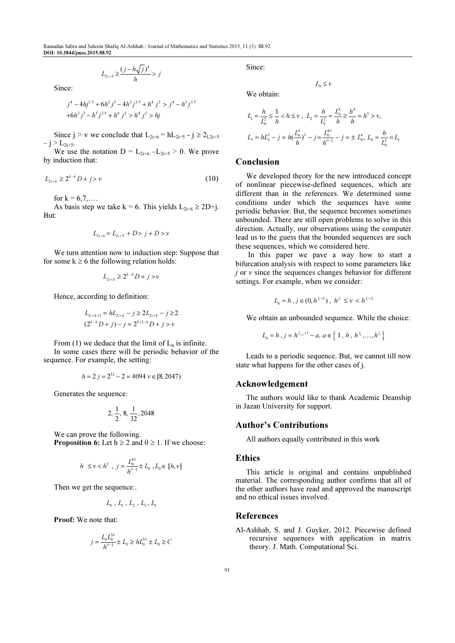Ramadan Sabra and Saleem Shafiq Al-Ashhab / Journal of Mathematics and Statistics 2015, 11 (3): 88.92 DOI: 10.3844/jmss.2015.88.92

$$
L_{2i+5} \geq \frac{(j-h\sqrt{j})^4}{h} > j
$$

Since:

$$
j^4 - 4hj^{3.5} + 6h^2j^3 - 4h^3j^{2.5} + h^4j^2 > j^4 - h^3j^{3.5}
$$
  
+6h<sup>2</sup> j<sup>3</sup> - h<sup>5</sup> j<sup>2.5</sup> + h<sup>4</sup> j<sup>2</sup> > h<sup>4</sup> j<sup>2</sup> > hj

Since  $j > v$  we conclude that  $L_{2i+6} = hL_{2i+5} - j \ge 2_{L2i+5}$  $- j > L_{2i+5}.$ 

We use the notation  $D = L_{2i+6} - L_{2i+5} > 0$ . We prove by induction that:

$$
L_{2i+k} \ge 2^{k-6}D + j > v \tag{10}
$$

for  $k = 6, 7, ...$ 

As basis step we take k = 6. This yields  $L_{2i+6} \ge 2D+j$ . But:

$$
L_{2i+6} = L_{2i+5} + D > j + D > v
$$

We turn attention now to induction step: Suppose that for some  $k \ge 6$  the following relation holds:

$$
L_{2i+k} \ge 2^{k-6}D + j > v
$$

Hence, according to definition:

$$
L_{2i+k+1} = hL_{2i+k} - j \ge 2L_{2i+k} - j \ge 2
$$
  

$$
(2^{k-6}D + j) - j = 2^{k+1-6}D + j > v
$$

From (1) we deduce that the limit of  $L_n$  is infinite.

In some cases there will be periodic behavior of the sequence. For example, the setting:

$$
h = 2
$$
  $j = 2^{12} - 2 = 4094$   $v \in [8, 2047)$ 

Generates the sequence:

$$
2, \frac{1}{2}, 8, \frac{1}{32}, 2048
$$

We can prove the following. **Proposition 6:** Let  $h \ge 2$  and  $\theta \ge 1$ . If we choose:

$$
h \le v < h^3
$$
,  $j = \frac{L_0^{4\theta}}{h^{\theta-1}} \pm L_0$ ,  $L_0 \in [h, v]$ 

Then we get the sequence:.

$$
L_{{\scriptscriptstyle 0}} \; , \, L_{{\scriptscriptstyle 1}} \; , \, L_{{\scriptscriptstyle 2}} \; , \, L_{{\scriptscriptstyle 3}} \; , \, L_{{\scriptscriptstyle 1}}
$$

Proof: We note that:

$$
j = \frac{L_0 L_0^{3\theta}}{h^{\theta - 1}} \pm L_0 \ge h L_0^{3\theta} \pm L_0 \ge C
$$

Since:

We obtain:

$$
f_{\rm{max}}
$$

$$
L_1 = \frac{h}{L_0^2} \le \frac{1}{h} < h \le \nu \;, \quad L_2 = \frac{h}{L_1^2} = \frac{L_0^4}{h} \ge \frac{h^4}{h} = h^3 > \nu \;,
$$
\n
$$
L_3 = hL_2^{\rho} - j = h\left(\frac{L_0^4}{h}\right)^{\rho} - j = \frac{L_0^{\rho}}{h^{\rho - 1}} - j = \pm L_0^{\rho}, \quad L_4 = \frac{h}{L_0^2} = L_1
$$

 $L_0 \leq v$ 

#### Conclusion

We developed theory for the new introduced concept of nonlinear piecewise-defined sequences, which are different than in the references. We determined some conditions under which the sequences have some periodic behavior. But, the sequence becomes sometimes unbounded. There are still open problems to solve in this direction. Actually, our observations using the computer lead us to the guess that the bounded sequences are such these sequences, which we considered here.

 In this paper we pave a way how to start a bifurcation analysis with respect to some parameters like  $i$  or  $v$  since the sequences changes behavior for different settings. For example, when we consider:

$$
L_0 = h \, , j \in (0, h^{f_i + 1}), \ h^{f_i} \le \nu < h^{f_i + 1}
$$

We obtain an unbounded sequence. While the choice:

$$
L_0 = h, j = h^{f_{i+1}+1} - a, a \in \{1, h, h^{f_1}, ..., h^{f_i}\}
$$

Leads to a periodic sequence. But, we cannot till now state what happens for the other cases of j.

#### Acknowledgement

The authors would like to thank Academic Deanship in Jazan University for support.

## Author's Contributions

All authors equally contributed in this work

#### Ethics

This article is original and contains unpublished material. The corresponding author confirms that all of the other authors have read and approved the manuscript and no ethical issues involved.

#### References

Al-Ashhab, S. and J. Guyker, 2012. Piecewise defined recursive sequences with application in matrix theory. J. Math. Computational Sci.